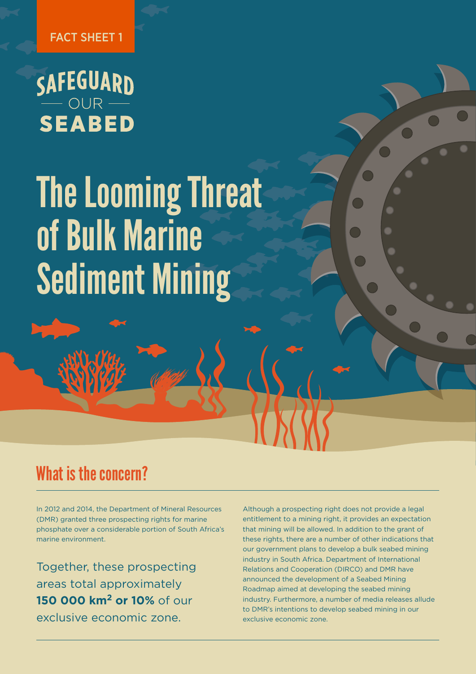FACT SHEET 1

# SAFEGUARD<br>
SEABED

## The Looming Threat of Bulk Marine Sediment Mining

## What is the concern?

In 2012 and 2014, the Department of Mineral Resources (DMR) granted three prospecting rights for marine phosphate over a considerable portion of South Africa's marine environment.

Together, these prospecting areas total approximately **150 000 km2 or 10%** of our exclusive economic zone.

Although a prospecting right does not provide a legal entitlement to a mining right, it provides an expectation that mining will be allowed. In addition to the grant of these rights, there are a number of other indications that our government plans to develop a bulk seabed mining industry in South Africa. Department of International Relations and Cooperation (DIRCO) and DMR have announced the development of a Seabed Mining Roadmap aimed at developing the seabed mining industry. Furthermore, a number of media releases allude to DMR's intentions to develop seabed mining in our exclusive economic zone.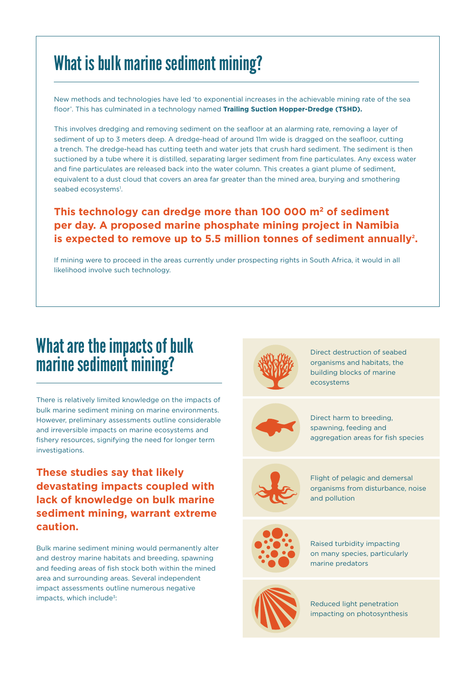## What is bulk marine sediment mining?

New methods and technologies have led 'to exponential increases in the achievable mining rate of the sea floor'. This has culminated in a technology named **Trailing Suction Hopper-Dredge (TSHD).**

This involves dredging and removing sediment on the seafloor at an alarming rate, removing a layer of sediment of up to 3 meters deep. A dredge-head of around 11m wide is dragged on the seafloor, cutting a trench. The dredge-head has cutting teeth and water jets that crush hard sediment. The sediment is then suctioned by a tube where it is distilled, separating larger sediment from fine particulates. Any excess water and fine particulates are released back into the water column. This creates a giant plume of sediment, equivalent to a dust cloud that covers an area far greater than the mined area, burying and smothering seabed ecosystems<sup>1</sup>.

#### **This technology can dredge more than 100 000 m2 of sediment per day. A proposed marine phosphate mining project in Namibia**  is expected to remove up to 5.5 million tonnes of sediment annually<sup>2</sup>.

If mining were to proceed in the areas currently under prospecting rights in South Africa, it would in all likelihood involve such technology.

## What are the impacts of bulk marine sediment mining?

There is relatively limited knowledge on the impacts of bulk marine sediment mining on marine environments. However, preliminary assessments outline considerable and irreversible impacts on marine ecosystems and fishery resources, signifying the need for longer term investigations.

#### **These studies say that likely devastating impacts coupled with lack of knowledge on bulk marine sediment mining, warrant extreme caution.**

Bulk marine sediment mining would permanently alter and destroy marine habitats and breeding, spawning and feeding areas of fish stock both within the mined area and surrounding areas. Several independent impact assessments outline numerous negative impacts, which include<sup>3</sup>:



Direct destruction of seabed organisms and habitats, the building blocks of marine ecosystems



Direct harm to breeding, spawning, feeding and aggregation areas for fish species



Flight of pelagic and demersal organisms from disturbance, noise and pollution



Raised turbidity impacting on many species, particularly marine predators



Reduced light penetration impacting on photosynthesis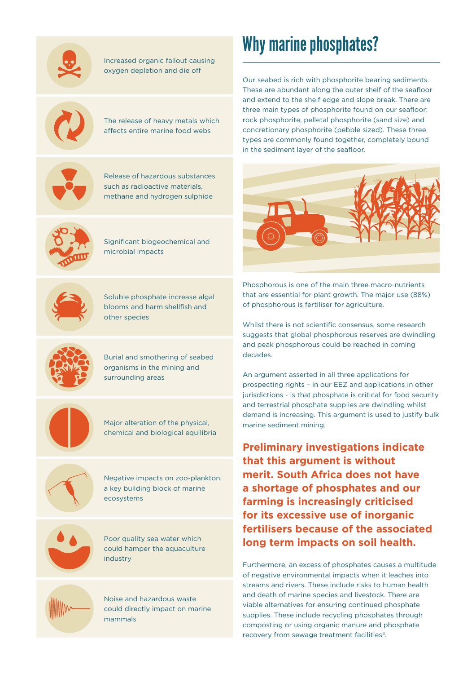

#### Increased organic fallout causing oxygen depletion and die off



The release of heavy metals which affects entire marine food webs



Release of hazardous substances such as radioactive materials, methane and hydrogen sulphide



Significant biogeochemical and microbial impacts



Soluble phosphate increase algal blooms and harm shellfish and other species



Burial and smothering of seabed organisms in the mining and surrounding areas



Major alteration of the physical, chemical and biological equilibria



Negative impacts on zoo-plankton, a key building block of marine ecosystems





Noise and hazardous waste could directly impact on marine mammals

## Why marine phosphates?

Our seabed is rich with phosphorite bearing sediments. These are abundant along the outer shelf of the seafloor and extend to the shelf edge and slope break. There are three main types of phosphorite found on our seafloor: rock phosphorite, pelletal phosphorite (sand size) and concretionary phosphorite (pebble sized). These three types are commonly found together, completely bound in the sediment layer of the seafloor.



Phosphorous is one of the main three macro-nutrients that are essential for plant growth. The major use (88%) of phosphorous is fertiliser for agriculture.

Whilst there is not scientific consensus, some research suggests that global phosphorous reserves are dwindling and peak phosphorous could be reached in coming decades.

An argument asserted in all three applications for prospecting rights – in our EEZ and applications in other jurisdictions - is that phosphate is critical for food security and terrestrial phosphate supplies are dwindling whilst demand is increasing. This argument is used to justify bulk marine sediment mining.

**Preliminary investigations indicate that this argument is without merit. South Africa does not have a shortage of phosphates and our farming is increasingly criticised for its excessive use of inorganic fertilisers because of the associated long term impacts on soil health.** 

Furthermore, an excess of phosphates causes a multitude of negative environmental impacts when it leaches into streams and rivers. These include risks to human health and death of marine species and livestock. There are viable alternatives for ensuring continued phosphate supplies. These include recycling phosphates through composting or using organic manure and phosphate recovery from sewage treatment facilities<sup>4</sup>.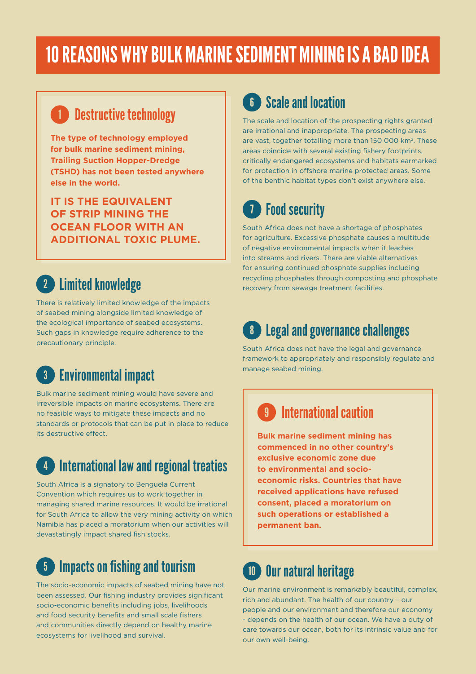## 10 REASONS WHY BULK MARINE SEDIMENT MINING IS A BAD IDEA

## **Destructive technology**

**The type of technology employed for bulk marine sediment mining, Trailing Suction Hopper-Dredge (TSHD) has not been tested anywhere else in the world.** 

**IT IS THE EQUIVALENT OF STRIP MINING THE OCEAN FLOOR WITH AN ADDITIONAL TOXIC PLUME.**

## 2 Limited knowledge

There is relatively limited knowledge of the impacts of seabed mining alongside limited knowledge of the ecological importance of seabed ecosystems. Such gaps in knowledge require adherence to the precautionary principle.

#### Environmental impact 3

Bulk marine sediment mining would have severe and irreversible impacts on marine ecosystems. There are no feasible ways to mitigate these impacts and no standards or protocols that can be put in place to reduce its destructive effect.

#### **International law and regional treaties** 4

South Africa is a signatory to Benguela Current Convention which requires us to work together in managing shared marine resources. It would be irrational for South Africa to allow the very mining activity on which Namibia has placed a moratorium when our activities will devastatingly impact shared fish stocks.

#### Impacts on fishing and tourism 5

The socio-economic impacts of seabed mining have not been assessed. Our fishing industry provides significant socio-economic benefits including jobs, livelihoods and food security benefits and small scale fishers and communities directly depend on healthy marine ecosystems for livelihood and survival.

### **6** Scale and location

The scale and location of the prospecting rights granted are irrational and inappropriate. The prospecting areas are vast, together totalling more than 150 000 km<sup>2</sup>. These areas coincide with several existing fishery footprints, critically endangered ecosystems and habitats earmarked for protection in offshore marine protected areas. Some of the benthic habitat types don't exist anywhere else.

#### Food security 7

South Africa does not have a shortage of phosphates for agriculture. Excessive phosphate causes a multitude of negative environmental impacts when it leaches into streams and rivers. There are viable alternatives for ensuring continued phosphate supplies including recycling phosphates through composting and phosphate recovery from sewage treatment facilities.

## 8 Legal and governance challenges

South Africa does not have the legal and governance framework to appropriately and responsibly regulate and manage seabed mining.

## 9 International caution

**Bulk marine sediment mining has commenced in no other country's exclusive economic zone due to environmental and socioeconomic risks. Countries that have received applications have refused consent, placed a moratorium on such operations or established a permanent ban.**

#### Our natural heritage 10

Our marine environment is remarkably beautiful, complex, rich and abundant. The health of our country – our people and our environment and therefore our economy - depends on the health of our ocean. We have a duty of care towards our ocean, both for its intrinsic value and for our own well-being.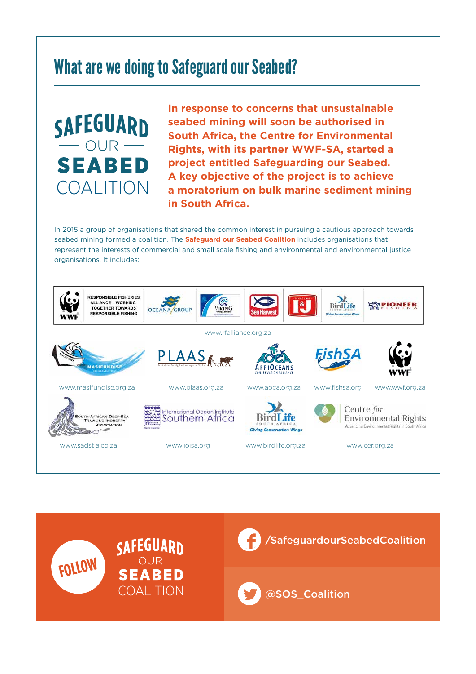## What are we doing to Safeguard our Seabed?

SAFEGUARD OUR **SEABED** COALITION

**In response to concerns that unsustainable seabed mining will soon be authorised in South Africa, the Centre for Environmental Rights, with its partner WWF-SA, started a project entitled Safeguarding our Seabed. A key objective of the project is to achieve a moratorium on bulk marine sediment mining in South Africa.**

In 2015 a group of organisations that shared the common interest in pursuing a cautious approach towards seabed mining formed a coalition. The **Safeguard our Seabed Coalition** includes organisations that represent the interests of commercial and small scale fishing and environmental and environmental justice organisations. It includes: